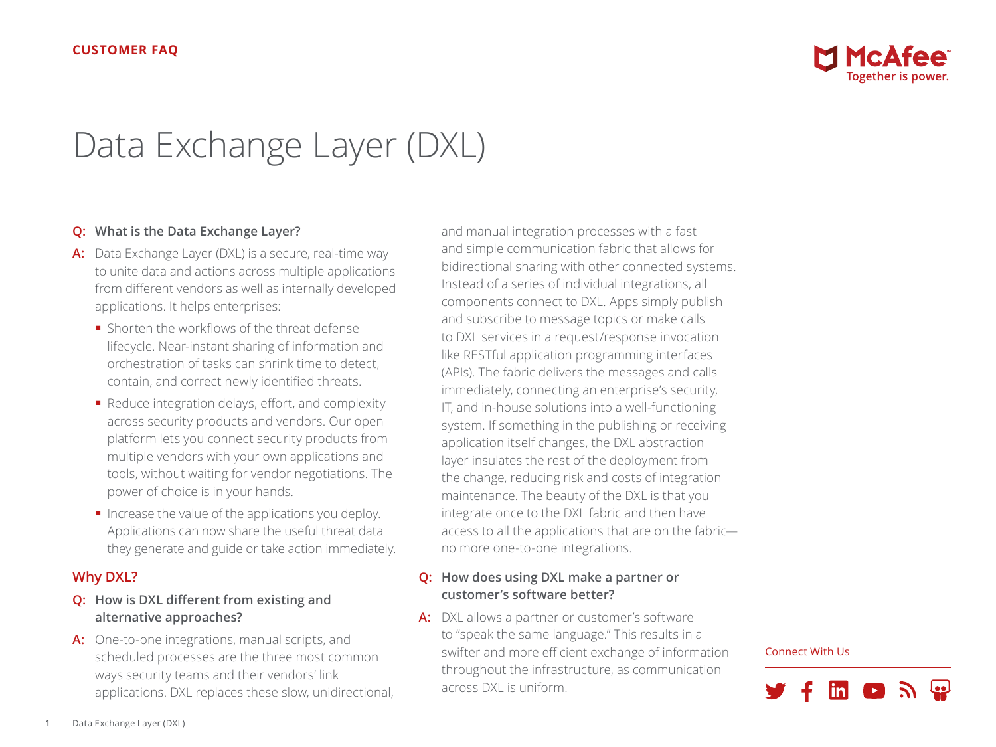

# Data Exchange Layer (DXL)

# **Q: What is the Data Exchange Layer?**

- **A:** Data Exchange Layer (DXL) is a secure, real-time way to unite data and actions across multiple applications from different vendors as well as internally developed applications. It helps enterprises:
	- Shorten the workflows of the threat defense lifecycle. Near-instant sharing of information and orchestration of tasks can shrink time to detect, contain, and correct newly identified threats.
	- Reduce integration delays, effort, and complexity across security products and vendors. Our open platform lets you connect security products from multiple vendors with your own applications and tools, without waiting for vendor negotiations. The power of choice is in your hands.
	- Increase the value of the applications you deploy. Applications can now share the useful threat data they generate and guide or take action immediately.

# **Why DXL?**

- **Q: How is DXL different from existing and alternative approaches?**
- **A:** One-to-one integrations, manual scripts, and scheduled processes are the three most common ways security teams and their vendors' link applications. DXL replaces these slow, unidirectional,

and manual integration processes with a fast and simple communication fabric that allows for bidirectional sharing with other connected systems. Instead of a series of individual integrations, all components connect to DXL. Apps simply publish and subscribe to message topics or make calls to DXL services in a request/response invocation like RESTful application programming interfaces (APIs). The fabric delivers the messages and calls immediately, connecting an enterprise's security, IT, and in-house solutions into a well-functioning system. If something in the publishing or receiving application itself changes, the DXL abstraction layer insulates the rest of the deployment from the change, reducing risk and costs of integration maintenance. The beauty of the DXL is that you integrate once to the DXL fabric and then have access to all the applications that are on the fabric no more one-to-one integrations.

# **Q: How does using DXL make a partner or customer's software better?**

**A:** DXL allows a partner or customer's software to "speak the same language." This results in a swifter and more efficient exchange of information throughout the infrastructure, as communication across DXL is uniform.

#### Connect With Us

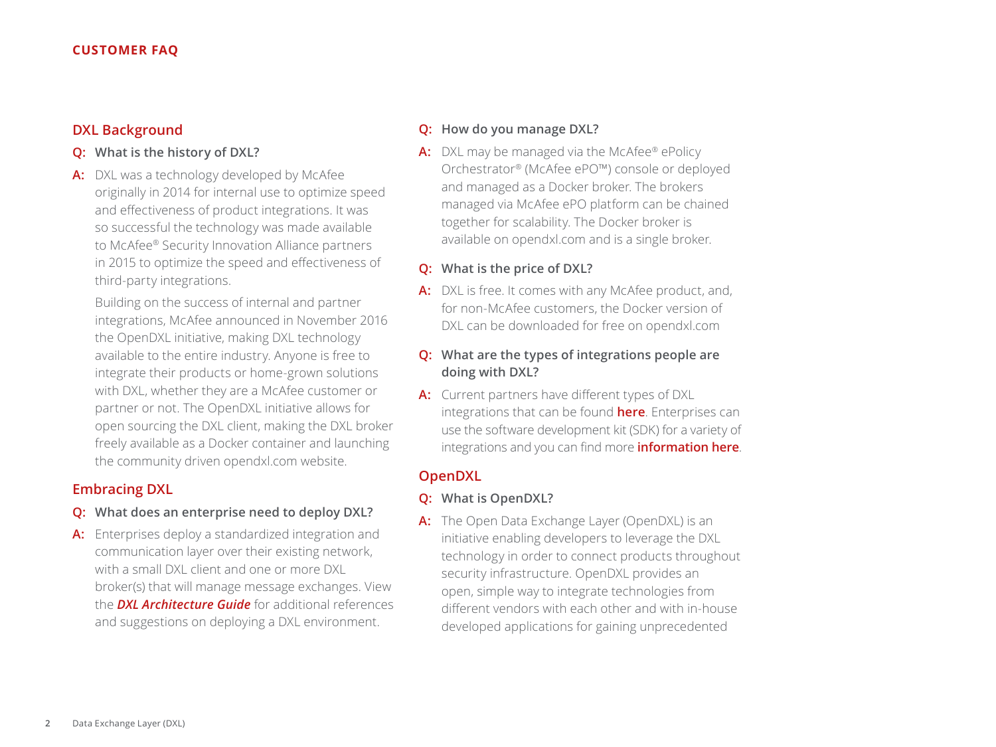# **DXL Background**

# **Q: What is the history of DXL?**

**A:** DXL was a technology developed by McAfee originally in 2014 for internal use to optimize speed and effectiveness of product integrations. It was so successful the technology was made available to McAfee® Security Innovation Alliance partners in 2015 to optimize the speed and effectiveness of third-party integrations.

Building on the success of internal and partner integrations, McAfee announced in November 2016 the OpenDXL initiative, making DXL technology available to the entire industry. Anyone is free to integrate their products or home-grown solutions with DXL, whether they are a McAfee customer or partner or not. The OpenDXL initiative allows for open sourcing the DXL client, making the DXL broker freely available as a Docker container and launching the community driven opendxl.com website.

## **Embracing DXL**

# **Q: What does an enterprise need to deploy DXL?**

**A:** Enterprises deploy a standardized integration and communication layer over their existing network, with a small DXL client and one or more DXL broker(s) that will manage message exchanges. View the *[DXL Architecture Guide](https://community.mcafee.com/t5/Documents/DXL-Architecture-Guide/ta-p/550280)* for additional references and suggestions on deploying a DXL environment.

#### **Q: How do you manage DXL?**

A: DXL may be managed via the McAfee<sup>®</sup> ePolicy Orchestrator® (McAfee ePO™) console or deployed and managed as a Docker broker. The brokers managed via McAfee ePO platform can be chained together for scalability. The Docker broker is available on opendxl.com and is a single broker.

## **Q: What is the price of DXL?**

- **A:** DXL is free. It comes with any McAfee product, and, for non-McAfee customers, the Docker version of DXL can be downloaded for free on opendxl.com
- **Q: What are the types of integrations people are doing with DXL?**
- **A:** Current partners have different types of DXL integrations that can be found **[here](https://www.mcafee.com/us/partners/security-innovation-alliance/index.aspx)**. Enterprises can use the software development kit (SDK) for a variety of integrations and you can find more **[information here](https://www.opendxl.com/filebase/)**.

# **OpenDXL**

#### **Q: What is OpenDXL?**

**A:** The Open Data Exchange Layer (OpenDXL) is an initiative enabling developers to leverage the DXL technology in order to connect products throughout security infrastructure. OpenDXL provides an open, simple way to integrate technologies from different vendors with each other and with in-house developed applications for gaining unprecedented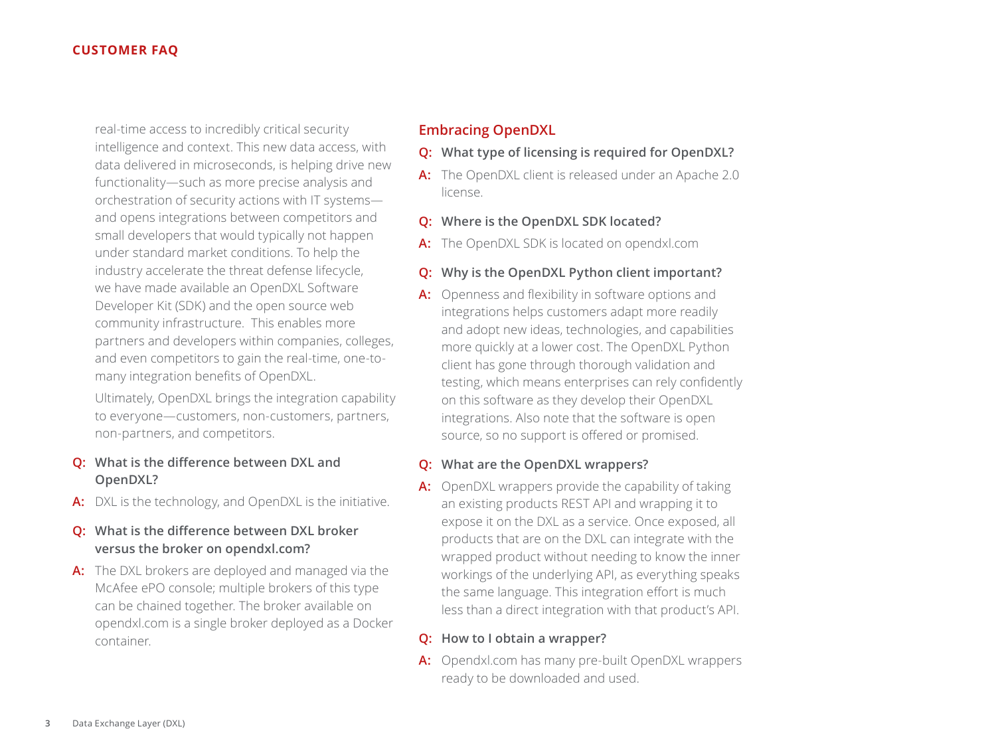real-time access to incredibly critical security intelligence and context. This new data access, with data delivered in microseconds, is helping drive new functionality—such as more precise analysis and orchestration of security actions with IT systems and opens integrations between competitors and small developers that would typically not happen under standard market conditions. To help the industry accelerate the threat defense lifecycle, we have made available an OpenDXL Software Developer Kit (SDK) and the open source web community infrastructure. This enables more partners and developers within companies, colleges, and even competitors to gain the real-time, one-tomany integration benefits of OpenDXL.

Ultimately, OpenDXL brings the integration capability to everyone—customers, non-customers, partners, non-partners, and competitors.

- **Q: What is the difference between DXL and OpenDXL?**
- **A:** DXL is the technology, and OpenDXL is the initiative.
- **Q: What is the difference between DXL broker versus the broker on opendxl.com?**
- **A:** The DXL brokers are deployed and managed via the McAfee ePO console; multiple brokers of this type can be chained together. The broker available on opendxl.com is a single broker deployed as a Docker container.

# **Embracing OpenDXL**

- **Q: What type of licensing is required for OpenDXL?**
- **A:** The OpenDXL client is released under an Apache 2.0 license.
- **Q: Where is the OpenDXL SDK located?**
- **A:** The OpenDXL SDK is located on opendxl.com

## **Q: Why is the OpenDXL Python client important?**

**A:** Openness and flexibility in software options and integrations helps customers adapt more readily and adopt new ideas, technologies, and capabilities more quickly at a lower cost. The OpenDXL Python client has gone through thorough validation and testing, which means enterprises can rely confidently on this software as they develop their OpenDXL integrations. Also note that the software is open source, so no support is offered or promised.

#### **Q: What are the OpenDXL wrappers?**

**A:** OpenDXL wrappers provide the capability of taking an existing products REST API and wrapping it to expose it on the DXL as a service. Once exposed, all products that are on the DXL can integrate with the wrapped product without needing to know the inner workings of the underlying API, as everything speaks the same language. This integration effort is much less than a direct integration with that product's API.

## **Q: How to I obtain a wrapper?**

**A:** Opendxl.com has many pre-built OpenDXL wrappers ready to be downloaded and used.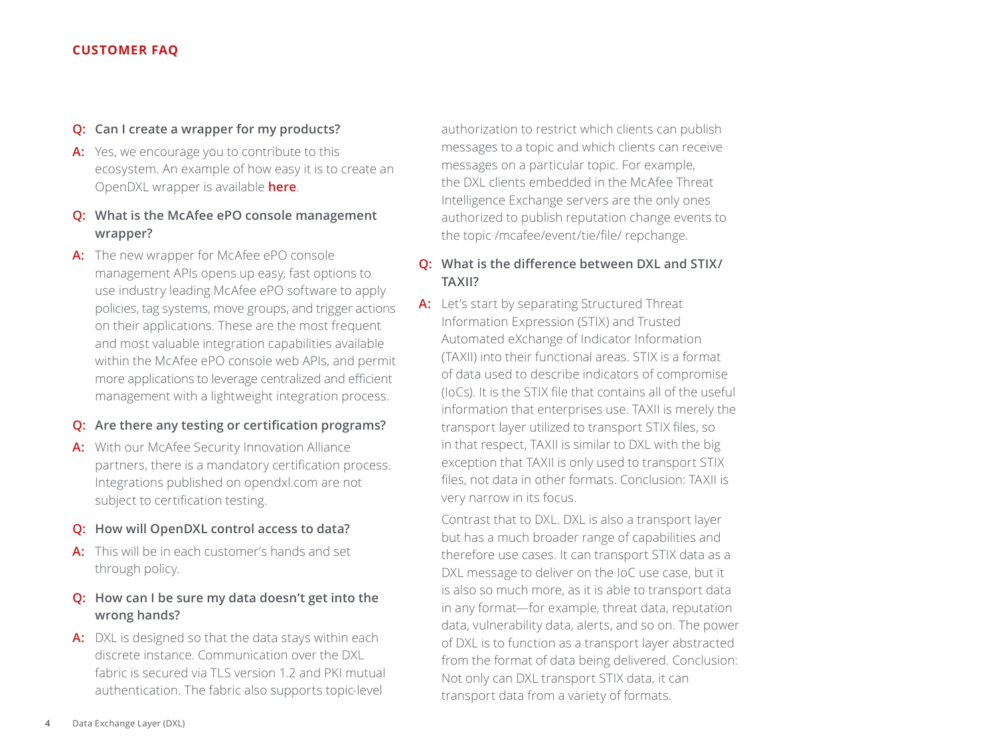#### **Q: Can I create a wrapper for my products?**

**A:** Yes, we encourage you to contribute to this ecosystem. An example of how easy it is to create an OpenDXL wrapper is available **[here](https://github.com/opendxl/opendxl-client-python/wiki/Service-Wrapper)**.

# **Q: What is the McAfee ePO console management wrapper?**

**A:** The new wrapper for McAfee ePO console management APIs opens up easy, fast options to use industry leading McAfee ePO software to apply policies, tag systems, move groups, and trigger actions on their applications. These are the most frequent and most valuable integration capabilities available within the McAfee ePO console web APIs, and permit more applications to leverage centralized and efficient management with a lightweight integration process.

## **Q: Are there any testing or certification programs?**

**A:** With our McAfee Security Innovation Alliance partners, there is a mandatory certification process. Integrations published on opendxl.com are not subject to certification testing.

## **Q: How will OpenDXL control access to data?**

**A:** This will be in each customer's hands and set through policy.

# **Q: How can I be sure my data doesn't get into the wrong hands?**

**A:** DXL is designed so that the data stays within each discrete instance. Communication over the DXL fabric is secured via TLS version 1.2 and PKI mutual authentication. The fabric also supports topic-level

authorization to restrict which clients can publish messages to a topic and which clients can receive messages on a particular topic. For example, the DXL clients embedded in the McAfee Threat Intelligence Exchange servers are the only ones authorized to publish reputation change events to the topic /mcafee/event/tie/file/ repchange.

# **Q: What is the difference between DXL and STIX/ TAXII?**

**A:** Let's start by separating Structured Threat Information Expression (STIX) and Trusted Automated eXchange of Indicator Information (TAXII) into their functional areas. STIX is a format of data used to describe indicators of compromise (IoCs). It is the STIX file that contains all of the useful information that enterprises use. TAXII is merely the transport layer utilized to transport STIX files, so in that respect, TAXII is similar to DXL with the big exception that TAXII is only used to transport STIX files, not data in other formats. Conclusion: TAXII is very narrow in its focus.

Contrast that to DXL. DXL is also a transport layer but has a much broader range of capabilities and therefore use cases. It can transport STIX data as a DXL message to deliver on the IoC use case, but it is also so much more, as it is able to transport data in any format—for example, threat data, reputation data, vulnerability data, alerts, and so on. The power of DXL is to function as a transport layer abstracted from the format of data being delivered. Conclusion: Not only can DXL transport STIX data, it can transport data from a variety of formats.